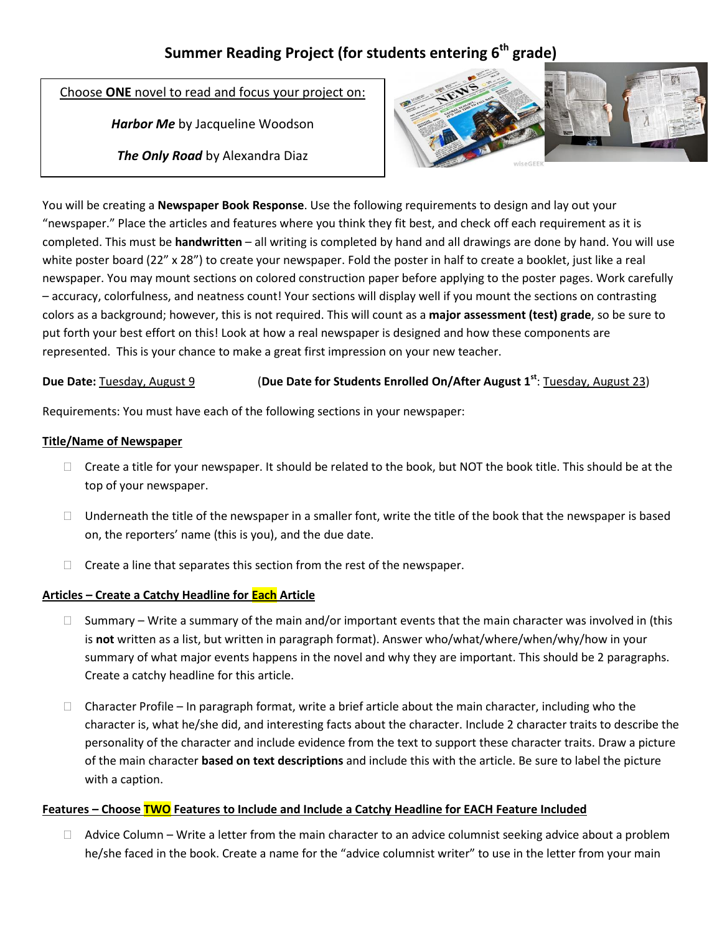# **Summer Reading Project (for students entering 6th grade)**

Choose **ONE** novel to read and focus your project on:

*Harbor Me* by Jacqueline Woodson

*The Only Road* by Alexandra Diaz



You will be creating a **Newspaper Book Response**. Use the following requirements to design and lay out your "newspaper." Place the articles and features where you think they fit best, and check off each requirement as it is completed. This must be **handwritten** – all writing is completed by hand and all drawings are done by hand. You will use white poster board (22" x 28") to create your newspaper. Fold the poster in half to create a booklet, just like a real newspaper. You may mount sections on colored construction paper before applying to the poster pages. Work carefully – accuracy, colorfulness, and neatness count! Your sections will display well if you mount the sections on contrasting colors as a background; however, this is not required. This will count as a **major assessment (test) grade**, so be sure to put forth your best effort on this! Look at how a real newspaper is designed and how these components are represented. This is your chance to make a great first impression on your new teacher.

## **Due Date:** Tuesday, August 9 (**Due Date for Students Enrolled On/After August 1st** : Tuesday, August 23)

Requirements: You must have each of the following sections in your newspaper:

## **Title/Name of Newspaper**

- $\Box$  Create a title for your newspaper. It should be related to the book, but NOT the book title. This should be at the top of your newspaper.
- $\Box$  Underneath the title of the newspaper in a smaller font, write the title of the book that the newspaper is based on, the reporters' name (this is you), and the due date.
- $\Box$  Create a line that separates this section from the rest of the newspaper.

## **Articles – Create a Catchy Headline for Each Article**

- $\Box$  Summary Write a summary of the main and/or important events that the main character was involved in (this is **not** written as a list, but written in paragraph format). Answer who/what/where/when/why/how in your summary of what major events happens in the novel and why they are important. This should be 2 paragraphs. Create a catchy headline for this article.
- $\Box$  Character Profile In paragraph format, write a brief article about the main character, including who the character is, what he/she did, and interesting facts about the character. Include 2 character traits to describe the personality of the character and include evidence from the text to support these character traits. Draw a picture of the main character **based on text descriptions** and include this with the article. Be sure to label the picture with a caption.

## **Features – Choose TWO Features to Include and Include a Catchy Headline for EACH Feature Included**

 $\Box$  Advice Column – Write a letter from the main character to an advice columnist seeking advice about a problem he/she faced in the book. Create a name for the "advice columnist writer" to use in the letter from your main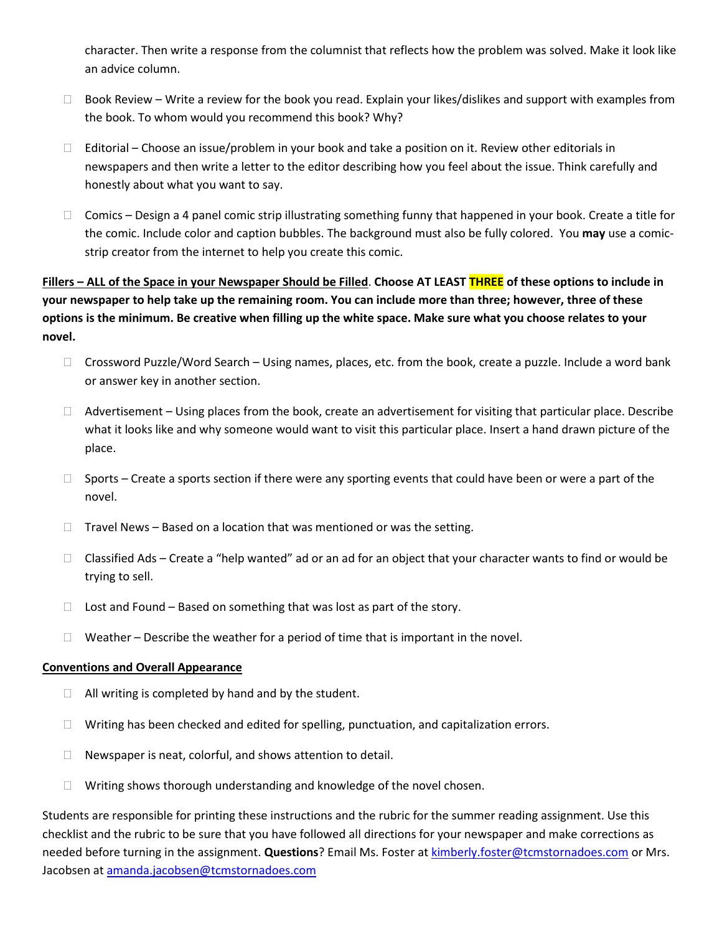character. Then write a response from the columnist that reflects how the problem was solved. Make it look like an advice column.

- $\Box$  Book Review Write a review for the book you read. Explain your likes/dislikes and support with examples from the book. To whom would you recommend this book? Why?
- $\Box$  Editorial Choose an issue/problem in your book and take a position on it. Review other editorials in newspapers and then write a letter to the editor describing how you feel about the issue. Think carefully and honestly about what you want to say.
- $\Box$  Comics Design a 4 panel comic strip illustrating something funny that happened in your book. Create a title for the comic. Include color and caption bubbles. The background must also be fully colored. You **may** use a comicstrip creator from the internet to help you create this comic.

**Fillers – ALL of the Space in your Newspaper Should be Filled**. **Choose AT LEAST THREE of these options to include in your newspaper to help take up the remaining room. You can include more than three; however, three of these options is the minimum. Be creative when filling up the white space. Make sure what you choose relates to your novel.**

- □ Crossword Puzzle/Word Search Using names, places, etc. from the book, create a puzzle. Include a word bank or answer key in another section.
- $\Box$  Advertisement Using places from the book, create an advertisement for visiting that particular place. Describe what it looks like and why someone would want to visit this particular place. Insert a hand drawn picture of the place.
- $\Box$  Sports Create a sports section if there were any sporting events that could have been or were a part of the novel.
- $\Box$  Travel News Based on a location that was mentioned or was the setting.
- $\Box$  Classified Ads Create a "help wanted" ad or an ad for an object that your character wants to find or would be trying to sell.
- $\Box$  Lost and Found Based on something that was lost as part of the story.
- $\Box$  Weather Describe the weather for a period of time that is important in the novel.

#### **Conventions and Overall Appearance**

- $\Box$  All writing is completed by hand and by the student.
- $\Box$  Writing has been checked and edited for spelling, punctuation, and capitalization errors.
- $\Box$  Newspaper is neat, colorful, and shows attention to detail.
- $\Box$  Writing shows thorough understanding and knowledge of the novel chosen.

Students are responsible for printing these instructions and the rubric for the summer reading assignment. Use this checklist and the rubric to be sure that you have followed all directions for your newspaper and make corrections as needed before turning in the assignment. **Questions**? Email Ms. Foster a[t kimberly.foster@tcmstornadoes.com](mailto:kimberly.foster@tcmstornadoes.com) or Mrs. Jacobsen a[t amanda.jacobsen@tcmstornadoes.com](mailto:amanda.jacobsen@tcmstornadoes.com)